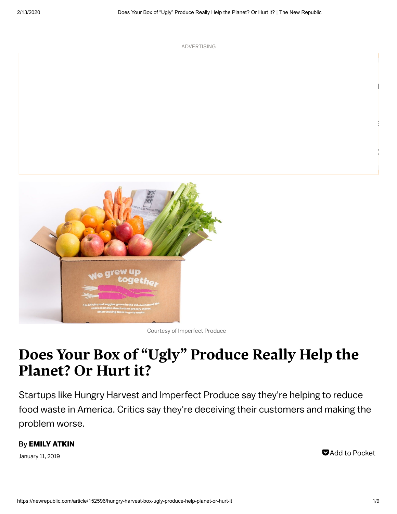ADVERTISING

Courtesy of Imperfect Produce

# Does Your Box of "Ugly" Produce Really Help the Planet? Or Hurt it?

Startups like Hungry Harvest and Imperfect Produce say they're helping to reduce food waste in America. Critics say they're deceiving their customers and making the problem worse.

#### By EMILY [ATKIN](https://newrepublic.com/authors/emily-atkin)

January 11, 2019 **Add to [Pocket](https://getpocket.com/edit?url=https://newrepublic.com/article/152596/hungry-harvest-box-ugly-produce-help-planet-or-hurt-it)**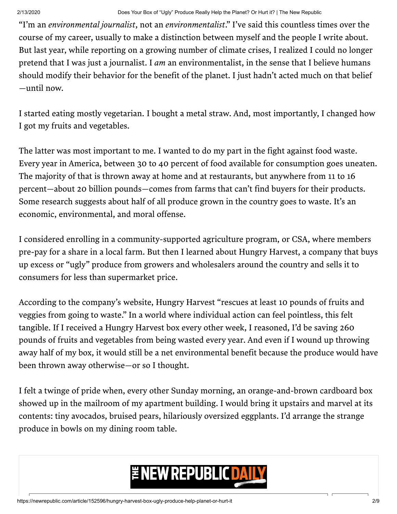"I'm an environmental journalist, not an environmentalist." I've said this countless times over the course of my career, usually to make a distinction between myself and the people I write about. But last year, while reporting on a growing number of climate crises, I realized I could no longer pretend that I was just a journalist. I am an environmentalist, in the sense that I believe humans should modify their behavior for the benefit of the planet. I just hadn't acted much on that belief —until now.

I started eating mostly vegetarian. I bought a metal straw. And, most importantly, I changed how I got my fruits and vegetables.

The latter was most important to me. I wanted to do my part in the fight against food waste. Every year in America, between 30 to 40 percent of food available for consumption goes uneaten. The majority of that is thrown away at home and at restaurants, but anywhere from 11 to 16 percent—about 20 billion pounds—comes from farms that can't find buyers for their products. Some research suggests about half of all produce grown in the country goes to waste. It's an economic, environmental, and moral offense.

I considered enrolling in a community-supported agriculture program, or CSA, where members pre-pay for a share in a local farm. But then I learned about Hungry Harvest, a company that buys up excess or "ugly" produce from growers and wholesalers around the country and sells it to consumers for less than supermarket price.

According to the company's website, Hungry Harvest "rescues at least 10 pounds of fruits and veggies from going to waste." In a world where individual action can feel pointless, this felt tangible. If I received a Hungry Harvest box every other week, I reasoned, I'd be saving 260 pounds of fruits and vegetables from being wasted every year. And even if I wound up throwing away half of my box, it would still be a net environmental benefit because the produce would have been thrown away otherwise—or so I thought.

I felt a twinge of pride when, every other Sunday morning, an orange-and-brown cardboard box showed up in the mailroom of my apartment building. I would bring it upstairs and marvel at its contents: tiny avocados, bruised pears, hilariously oversized eggplants. I'd arrange the strange produce in bowls on my dining room table.

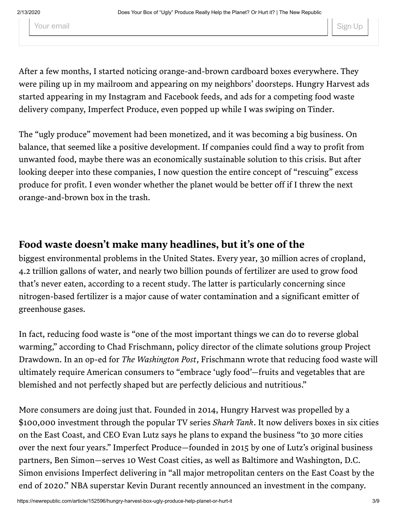Your email states of the state of the state of the state of the state of the Sign Up state of the Sign Up state of the Sign Up state of the Sign Up state of the Sign Up state of the Sign Up state of the Sign Up state of th

After a few months, I started noticing orange-and-brown cardboard boxes everywhere. They were piling up in my mailroom and appearing on my neighbors' doorsteps. Hungry Harvest ads started appearing in my Instagram and Facebook feeds, and ads for a competing food waste delivery company, Imperfect Produce, even popped up while I was swiping on Tinder.

The "ugly produce" movement had been monetized, and it was becoming a big business. On balance, that seemed like a positive development. If companies could find a way to profit from unwanted food, maybe there was an economically sustainable solution to this crisis. But after looking deeper into these companies, I now question the entire concept of "rescuing" excess produce for profit. I even wonder whether the planet would be better off if I threw the next orange-and-brown box in the trash.

#### Food waste doesn't make many headlines, but it's one of the

biggest environmental problems in the United States. Every year, 30 million acres of cropland, 4.2 trillion gallons of water, and nearly two billion pounds of fertilizer are used to grow food that's never eaten, according to a recent study. The latter is particularly concerning since nitrogen-based fertilizer is a major cause of water contamination and a significant emitter of greenhouse gases.

In fact, reducing food waste is "one of the most important things we can do to reverse global warming," according to Chad Frischmann, policy director of the climate solutions group Project Drawdown. In an op-ed for *The Washington Post*, Frischmann wrote that reducing food waste will ultimately require American consumers to "embrace 'ugly food'—fruits and vegetables that are blemished and not perfectly shaped but are perfectly delicious and nutritious."

More consumers are doing just that. Founded in 2014, Hungry Harvest was propelled by a \$100,000 investment through the popular TV series Shark Tank. It now delivers boxes in six cities on the East Coast, and CEO Evan Lutz says he plans to expand the business "to 30 more cities over the next four years." Imperfect Produce—founded in 2015 by one of Lutz's original business partners, Ben Simon—serves 10 West Coast cities, as well as Baltimore and Washington, D.C. Simon envisions Imperfect delivering in "all major metropolitan centers on the East Coast by the end of 2020." NBA superstar Kevin Durant recently announced an investment in the company.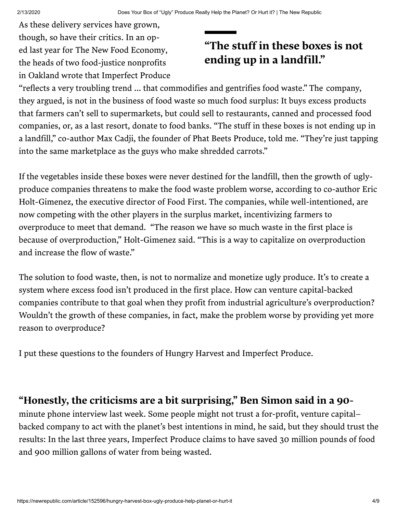As these delivery services have grown, though, so have their critics. In an op- ed last year for The New Food Economy, the heads of two food-justice nonprofits in Oakland wrote that Imperfect Produce

# "The stuff in these boxes is not ending up in a landfill."

"reflects a very troubling trend ... that commodifies and gentrifies food waste." The company, they argued, is not in the business of food waste so much food surplus: It buys excess products that farmers can't sell to supermarkets, but could sell to restaurants, canned and processed food companies, or, as a last resort, donate to food banks. "The stuff in these boxes is not ending up in a landfill," co-author Max Cadji, the founder of Phat Beets Produce, told me. "They're just tapping into the same marketplace as the guys who make shredded carrots."

If the vegetables inside these boxes were never destined for the landfill, then the growth of uglyproduce companies threatens to make the food waste problem worse, according to co-author Eric Holt-Gimenez, the executive director of Food First. The companies, while well-intentioned, are now competing with the other players in the surplus market, incentivizing farmers to overproduce to meet that demand. "The reason we have so much waste in the first place is because of overproduction," Holt-Gimenez said. "This is a way to capitalize on overproduction and increase the flow of waste."

The solution to food waste, then, is not to normalize and monetize ugly produce. It's to create a system where excess food isn't produced in the first place. How can venture capital-backed companies contribute to that goal when they profit from industrial agriculture's overproduction? Wouldn't the growth of these companies, in fact, make the problem worse by providing yet more reason to overproduce?

I put these questions to the founders of Hungry Harvest and Imperfect Produce.

#### "Honestly, the criticisms are a bit surprising, " Ben Simon said in a 90-

minute phone interview last week. Some people might not trust a for-profit, venture capital– backed company to act with the planet's best intentions in mind, he said, but they should trust the results: In the last three years, Imperfect Produce claims to have saved 30 million pounds of food and 900 million gallons of water from being wasted.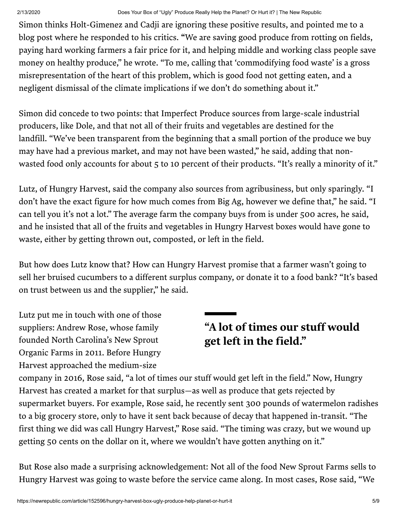Simon thinks [Holt-Gimenez](http://blog.imperfectproduce.com/blog-1/2018/10/12/lets-talk-about-food-waste-and-hunger) and Cadji are ignoring these positive results, and pointed me to a blog post where he responded to his critics. "We are saving good produce from rotting on fields, paying hard working farmers a fair price for it, and helping middle and working class people save money on healthy produce," he wrote. "To me, calling that 'commodifying food waste' is a gross misrepresentation of the heart of this problem, which is good food not getting eaten, and a negligent dismissal of the climate implications if we don't do something about it."

Simon did concede to two points: that Imperfect Produce sources from large-scale industrial producers, like Dole, and that not all of their fruits and vegetables are destined for the landfill. "We've been transparent from the beginning that a small portion of the produce we buy may have had a previous market, and may not have been wasted," he said, adding that nonwasted food only accounts for about 5 to 10 percent of their products. "It's really a minority of it."

Lutz, of Hungry Harvest, said the company also sources from agribusiness, but only sparingly. "I don't have the exact figure for how much comes from Big Ag, however we define that," he said. "I can tell you it's not a lot." The average farm the company buys from is under 500 acres, he said, and he insisted that all of the fruits and vegetables in Hungry Harvest boxes would have gone to waste, either by getting thrown out, composted, or left in the field.

But how does Lutz know that? How can Hungry Harvest promise that a farmer wasn't going to sell her bruised cucumbers to a different surplus company, or donate it to a food bank? "It's based on trust between us and the supplier," he said.

Lutz put me in touch with one of those suppliers: Andrew Rose, whose family founded North Carolina's New Sprout Organic Farms in 2011. Before Hungry Harvest approached the medium-size

# "A lot of times our stuff would get left in the field."

company in 2016, Rose said, "a lot of times our stuff would get left in the field." Now, Hungry Harvest has created a market for that surplus—as well as produce that gets rejected by supermarket buyers. For example, Rose said, he recently sent 300 pounds of watermelon radishes to a big grocery store, only to have it sent back because of decay that happened in-transit. "The first thing we did was call Hungry Harvest," Rose said. "The timing was crazy, but we wound up getting 50 cents on the dollar on it, where we wouldn't have gotten anything on it."

But Rose also made a surprising acknowledgement: Not all of the food New Sprout Farms sells to Hungry Harvest was going to waste before the service came along. In most cases, Rose said, "We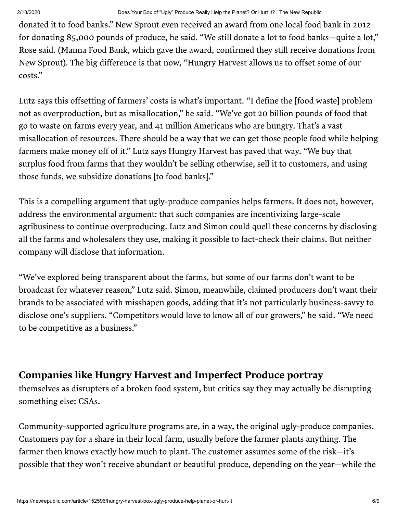donated it to food banks." New Sprout even received an award from one local food bank in 2012 for donating 85,000 pounds of produce, he said. "We still donate a lot to food banks—quite a lot," Rose said. (Manna Food Bank, which gave the award, confirmed they still receive donations from New Sprout). The big difference is that now, "Hungry Harvest allows us to offset some of our costs."

Lutz says this offsetting of farmers' costs is what's important. "I define the [food waste] problem not as overproduction, but as misallocation," he said. "We've got 20 billion pounds of food that go to waste on farms every year, and 41 million Americans who are hungry. That's a vast misallocation of resources. There should be a way that we can get those people food while helping farmers make money off of it." Lutz says Hungry Harvest has paved that way. "We buy that surplus food from farms that they wouldn't be selling otherwise, sell it to customers, and using those funds, we subsidize donations [to food banks]."

This is a compelling argument that ugly-produce companies helps farmers. It does not, however, address the environmental argument: that such companies are incentivizing large-scale agribusiness to continue overproducing. Lutz and Simon could quell these concerns by disclosing all the farms and wholesalers they use, making it possible to fact-check their claims. But neither company will disclose that information.

"We've explored being transparent about the farms, but some of our farms don't want to be broadcast for whatever reason," Lutz said. Simon, meanwhile, claimed producers don't want their brands to be associated with misshapen goods, adding that it's not particularly business-savvy to disclose one's suppliers. "Competitors would love to know all of our growers," he said. "We need to be competitive as a business."

### Companies like Hungry Harvest and Imperfect Produce portray

themselves as disrupters of a broken food system, but critics say they may actually be disrupting something else: CSAs.

Community-supported agriculture programs are, in a way, the original ugly-produce companies. Customers pay for a share in their local farm, usually before the farmer plants anything. The farmer then knows exactly how much to plant. The customer assumes some of the risk—it's possible that they won't receive abundant or beautiful produce, depending on the year—while the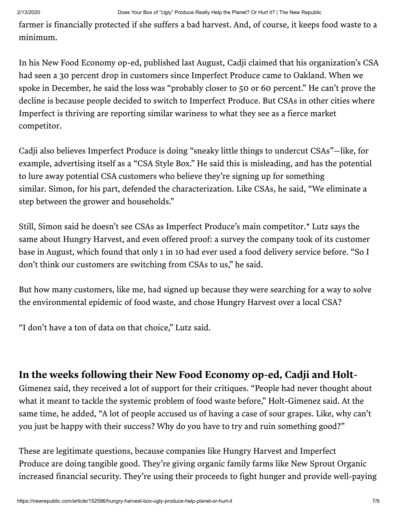farmer is financially protected if she suffers a bad harvest. And, of course, it keeps food waste to a minimum.

In his New Food Economy op-ed, published last August, Cadji claimed that his organization's CSA had seen a 30 percent drop in customers since Imperfect Produce came to Oakland. When we spoke in December, he said the loss was "probably closer to 50 or 60 percent." He can't prove the decline is because people decided to switch to Imperfect Produce. But CSAs in other cities where Imperfect is thriving are reporting similar wariness to what they see as a fierce market competitor.

Cadji also believes Imperfect Produce is doing "sneaky little things to undercut CSAs"—like, for example, advertising itself as a "CSA Style Box." He said this is misleading, and has the potential to lure away potential CSA customers who believe they're signing up for something similar. Simon, for his part, defended the characterization. Like CSAs, he said, "We eliminate a step between the grower and households."

Still, Simon said he doesn't see CSAs as Imperfect Produce's main competitor.\* Lutz says the same about Hungry Harvest, and even offered proof: a survey the company took of its customer base in August, which found that only 1 in 10 had ever used a food delivery service before. "So I don't think our customers are switching from CSAs to us," he said.

But how many customers, like me, had signed up because they were searching for a way to solve the environmental epidemic of food waste, and chose Hungry Harvest over a local CSA?

"I don't have a ton of data on that choice," Lutz said.

## In the weeks following their New Food Economy op-ed, Cadji and Holt-

Gimenez said, they received a lot of support for their critiques. "People had never thought about what it meant to tackle the systemic problem of food waste before," Holt-Gimenez said. At the same time, he added, "A lot of people accused us of having a case of sour grapes. Like, why can't you just be happy with their success? Why do you have to try and ruin something good?"

These are legitimate questions, because companies like Hungry Harvest and Imperfect Produce are doing tangible good. They're giving organic family farms like New Sprout Organic increased financial security. They're using their proceeds to fight hunger and provide well-paying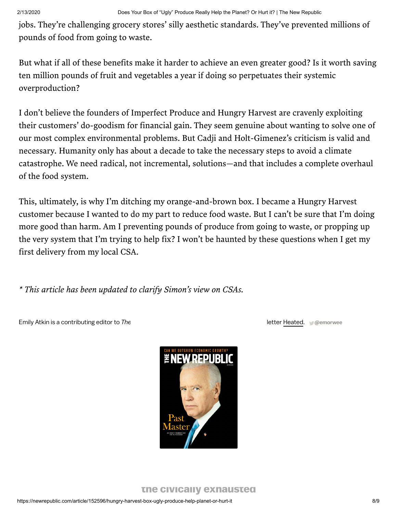jobs. They're challenging grocery stores' silly aesthetic standards. They've prevented millions of pounds of food from going to waste.

But what if all of these benefits make it harder to achieve an even greater good? Is it worth saving ten million pounds of fruit and vegetables a year if doing so perpetuates their systemic overproduction?

I don't believe the founders of Imperfect Produce and Hungry Harvest are cravenly exploiting their customers' do-goodism for financial gain. They seem genuine about wanting to solve one of our most complex environmental problems. But Cadji and Holt-Gimenez's criticism is valid and necessary. Humanity only has about a decade to take the necessary steps to avoid a climate catastrophe. We need radical, not incremental, solutions—and that includes a complete overhaul of the food system.

This, ultimately, is why I'm ditching my orange-and-brown box. I became a Hungry Harvest customer because I wanted to do my part to reduce food waste. But I can't be sure that I'm doing more good than harm. Am I preventing pounds of produce from going to waste, or propping up the very system that I'm trying to help fix? I won't be haunted by these questions when I get my first delivery from my local CSA.

\* This article has been updated to clarify Simon's view on CSAs.

Emily Atkin is a contributing editor to The New Republic and the author of the author of the author of the climate newsletter [Heated.](https://heated.world/about) [@emorwee](https://twitter.com/emorwee)